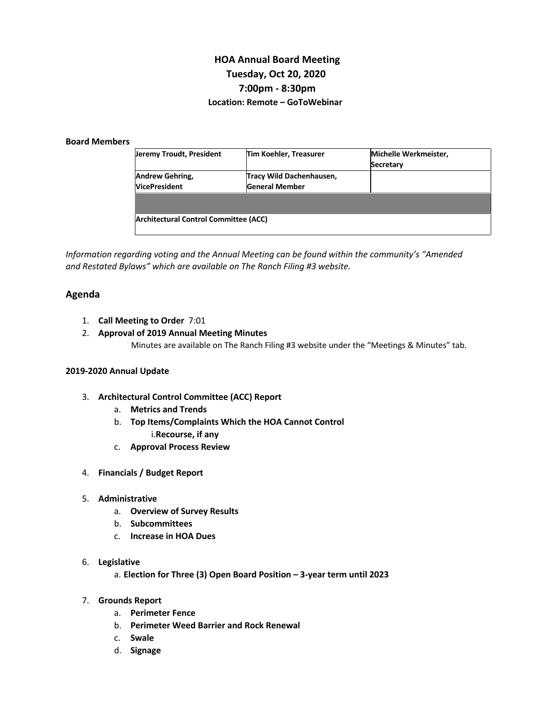### **HOA Annual Board Meeting Tuesday, Oct 20, 2020 7:00pm - 8:30pm Location: Remote – GoToWebinar**

#### **Board Members**

| Jeremy Troudt, President              | Tim Koehler, Treasurer   | Michelle Werkmeister, |
|---------------------------------------|--------------------------|-----------------------|
|                                       |                          | Secretary             |
| Andrew Gehring,                       | Tracy Wild Dachenhausen, |                       |
| <b>VicePresident</b>                  | <b>General Member</b>    |                       |
|                                       |                          |                       |
|                                       |                          |                       |
| Architectural Control Committee (ACC) |                          |                       |
|                                       |                          |                       |

*Information regarding voting and the Annual Meeting can be found within the community's "Amended and Restated Bylaws" which are available on The Ranch Filing #3 website.*

#### **Agenda**

- 1. **Call Meeting to Order** 7:01
- 2. **Approval of 2019 Annual Meeting Minutes**

Minutes are available on The Ranch Filing #3 website under the "Meetings & Minutes" tab.

#### **2019-2020 Annual Update**

- 3. **Architectural Control Committee (ACC) Report**
	- a. **Metrics and Trends**
	- b. **Top Items/Complaints Which the HOA Cannot Control** i.**Recourse, if any**
	- c. **Approval Process Review**
- 4. **Financials / Budget Report**
- 5. **Administrative**
	- a. **Overview of Survey Results**
	- b. **Subcommittees**
	- c. **Increase in HOA Dues**

#### 6. **Legislative**

a. **Election for Three (3) Open Board Position – 3-year term until 2023**

- 7. **Grounds Report**
	- a. **Perimeter Fence**
	- b. **Perimeter Weed Barrier and Rock Renewal**
	- c. **Swale**
	- d. **Signage**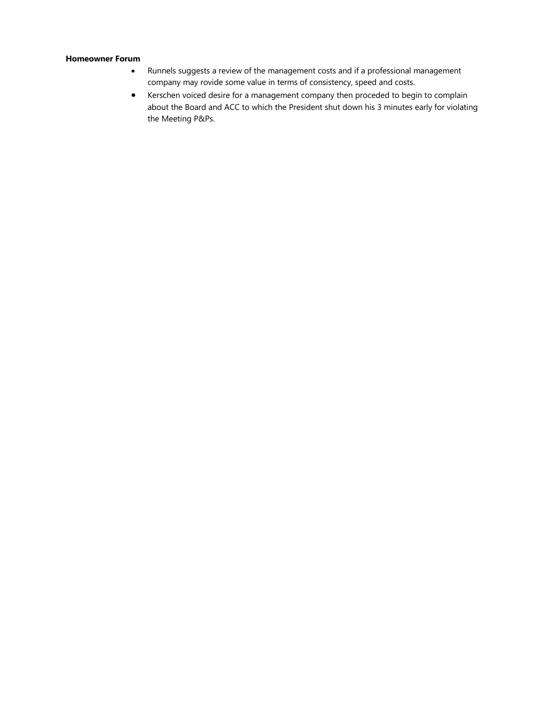#### **Homeowner Forum**

- Runnels suggests a review of the management costs and if a professional management company may rovide some value in terms of consistency, speed and costs.
- Kerschen voiced desire for a management company then proceded to begin to complain about the Board and ACC to which the President shut down his 3 minutes early for violating the Meeting P&Ps.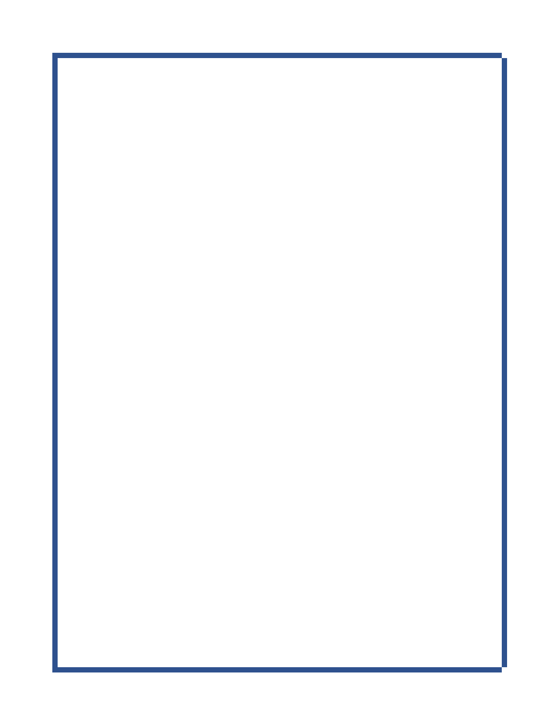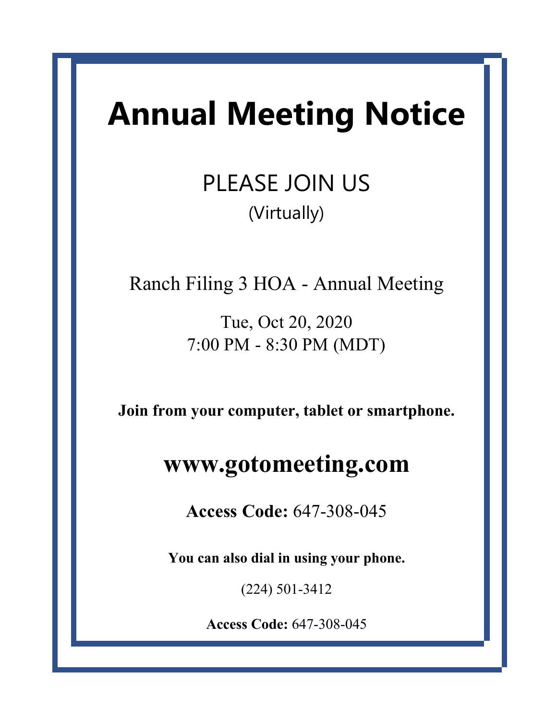# **Annual Meeting Notice**

PLEASE JOIN US (Virtually)

Ranch Filing 3 HOA - Annual Meeting

Tue, Oct 20, 2020 7:00 PM - 8:30 PM (MDT)

**Join from your computer, tablet or smartphone.** 

## **www.gotomeeting.com**

**Access Code:** 647-308-045

**You can also dial in using your phone.**

(224) 501-3412

**Access Code:** 647-308-045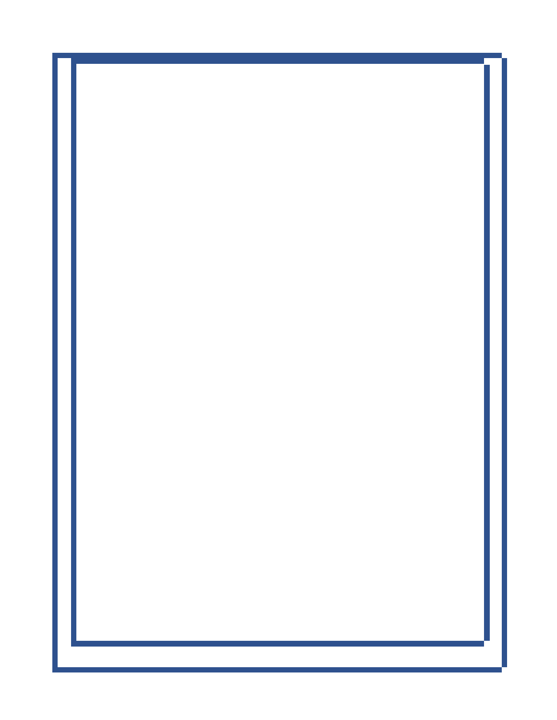